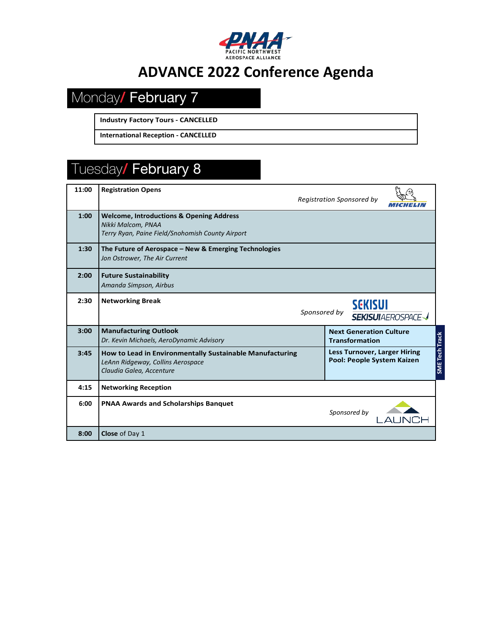

# **ADVANCE 2022 Conference Agenda**

# Monday/ February 7

**Industry Factory Tours - CANCELLED**

**International Reception - CANCELLED**

# Tuesday/ February 8

| 11:00 | <b>Registration Opens</b>                                                                                                     | <b>Registration Sponsored by</b>                                                           |  |
|-------|-------------------------------------------------------------------------------------------------------------------------------|--------------------------------------------------------------------------------------------|--|
| 1:00  | <b>Welcome, Introductions &amp; Opening Address</b><br>Nikki Malcom, PNAA<br>Terry Ryan, Paine Field/Snohomish County Airport |                                                                                            |  |
| 1:30  | The Future of Aerospace – New & Emerging Technologies<br>Jon Ostrower, The Air Current                                        |                                                                                            |  |
| 2:00  | <b>Future Sustainability</b><br>Amanda Simpson, Airbus                                                                        |                                                                                            |  |
| 2:30  | <b>Networking Break</b><br><b>SEKISUI</b><br>Sponsored by<br><b>SEKISUI</b> AEROSPACE                                         |                                                                                            |  |
| 3:00  | <b>Manufacturing Outlook</b><br>Dr. Kevin Michaels, AeroDynamic Advisory                                                      | <b>Next Generation Culture</b><br><b>Transformation</b>                                    |  |
| 3:45  | How to Lead in Environmentally Sustainable Manufacturing<br>LeAnn Ridgeway, Collins Aerospace<br>Claudia Galea, Accenture     | <b>SME Tech Track</b><br><b>Less Turnover, Larger Hiring</b><br>Pool: People System Kaizen |  |
| 4:15  | <b>Networking Reception</b>                                                                                                   |                                                                                            |  |
| 6:00  | <b>PNAA Awards and Scholarships Banquet</b>                                                                                   | Sponsored by                                                                               |  |
| 8:00  | Close of Day 1                                                                                                                |                                                                                            |  |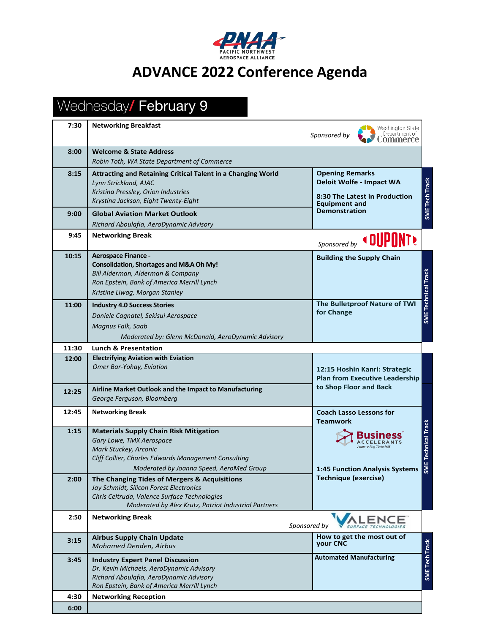

### **ADVANCE 2022 Conference Agenda**

#### Wednesday/ February 9 **7:30 Networking Breakfast** Washington State  *Sponsored by* Department of Commerce **8:00 Welcome & State Address**  *Robin Toth, WA State Department of Commerce* **8:15 Attracting and Retaining Critical Talent in a Changing World Opening Remarks** SME Tech Track **Deloit Wolfe - Impact WA SME Tech Track** *Lynn Strickland, AJAC Kristina Pressley, Orion Industries* **8:30 The Latest in Production**  *Krystina Jackson, Eight Twenty-Eight* **Equipment and Demonstration 9:00 Global Aviation Market Outlook** *Richard Aboulafia, AeroDynamic Advisory* **9:45 Networking Break** NT) *Sponsored by* **10:15 Aerospace Finance - Building the Supply Chain Consolidation, Shortages and M&A Oh My! SME Technical Track** *Bill Alderman, Alderman & Company* **SME Technical Track** *Ron Epstein, Bank of America Merrill Lynch Kristine Liwag, Morgan Stanley* **The Bulletproof Nature of TWI 11:00 Industry 4.0 Success Stories for Change** *Daniele Cagnatel, Sekisui Aerospace Magnus Falk, Saab Moderated by: Glenn McDonald, AeroDynamic Advisory* **11:30 Lunch & Presentation 12:00 Electrifying Aviation with Eviation** *Omer Bar-Yohay, Eviation* **12:15 Hoshin Kanri: Strategic Plan from Executive Leadership to Shop Floor and Back 12:25 Airline Market Outlook and the Impact to Manufacturing** *George Ferguson, Bloomberg* **12:45 Networking Break Coach Lasso Lessons for Networking Break Teamwork SME Technical Track Technical Track 1:15 Materials Supply Chain Risk Mitigation Business** *Gary Lowe, TMX Aerospace* **ACCELERANTS** *Mark Stuckey, Arconic Cliff Collier, Charles Edwards Management Consulting* **1:45 Function Analysis Systems**  *Moderated by Joanna Speed, AeroMed Group* **Technique (exercise) 2:00 The Changing Tides of Mergers & Acquisitions** *Jay Schmidt, Silicon Forest Electronics Chris Celtruda, Valence Surface Technologies Moderated by Alex Krutz, Patriot Industrial Partners* **2:50 Networking Break ALENCE**  *Sponsored by*  **3:15 Airbus Supply Chain Update How to get the most out of Track your CNC SME Tech Track** *Mohamed Denden, Airbus* **Automated Manufacturing** SME Tech **3:45 Industry Expert Panel Discussion** *Dr. Kevin Michaels, AeroDynamic Advisory Richard Aboulafia, AeroDynamic Advisory Ron Epstein, Bank of America Merrill Lynch* **4:30 Networking Reception**

**6:00**